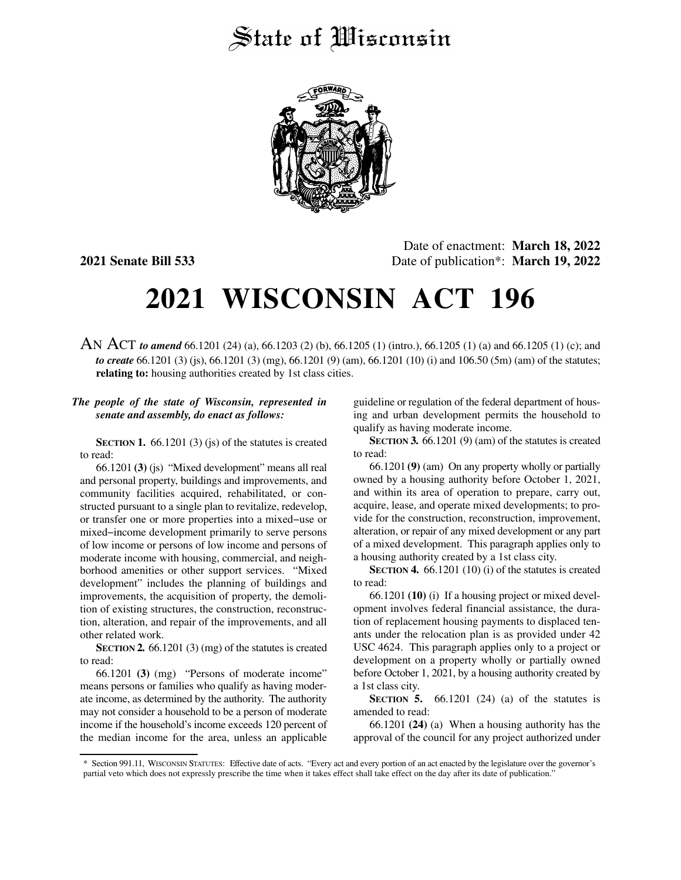# State of Wisconsin



Date of enactment: **March 18, 2022 2021 Senate Bill 533** Date of publication\*: **March 19, 2022**

# **2021 WISCONSIN ACT 196**

AN ACT *to amend* 66.1201 (24) (a), 66.1203 (2) (b), 66.1205 (1) (intro.), 66.1205 (1) (a) and 66.1205 (1) (c); and *to create* 66.1201 (3) (js), 66.1201 (3) (mg), 66.1201 (9) (am), 66.1201 (10) (i) and 106.50 (5m) (am) of the statutes; **relating to:** housing authorities created by 1st class cities.

## *The people of the state of Wisconsin, represented in senate and assembly, do enact as follows:*

**SECTION 1.** 66.1201 (3) (js) of the statutes is created to read:

66.1201 **(3)** (js) "Mixed development" means all real and personal property, buildings and improvements, and community facilities acquired, rehabilitated, or constructed pursuant to a single plan to revitalize, redevelop, or transfer one or more properties into a mixed−use or mixed−income development primarily to serve persons of low income or persons of low income and persons of moderate income with housing, commercial, and neighborhood amenities or other support services. "Mixed development" includes the planning of buildings and improvements, the acquisition of property, the demolition of existing structures, the construction, reconstruction, alteration, and repair of the improvements, and all other related work.

**SECTION 2.** 66.1201 (3) (mg) of the statutes is created to read:

66.1201 **(3)** (mg) "Persons of moderate income" means persons or families who qualify as having moderate income, as determined by the authority. The authority may not consider a household to be a person of moderate income if the household's income exceeds 120 percent of the median income for the area, unless an applicable

guideline or regulation of the federal department of housing and urban development permits the household to qualify as having moderate income.

**SECTION 3.** 66.1201 (9) (am) of the statutes is created to read:

66.1201 **(9)** (am) On any property wholly or partially owned by a housing authority before October 1, 2021, and within its area of operation to prepare, carry out, acquire, lease, and operate mixed developments; to provide for the construction, reconstruction, improvement, alteration, or repair of any mixed development or any part of a mixed development. This paragraph applies only to a housing authority created by a 1st class city.

**SECTION 4.** 66.1201 (10) (i) of the statutes is created to read:

66.1201 **(10)** (i) If a housing project or mixed development involves federal financial assistance, the duration of replacement housing payments to displaced tenants under the relocation plan is as provided under 42 USC 4624. This paragraph applies only to a project or development on a property wholly or partially owned before October 1, 2021, by a housing authority created by a 1st class city.

**SECTION 5.** 66.1201 (24) (a) of the statutes is amended to read:

66.1201 **(24)** (a) When a housing authority has the approval of the council for any project authorized under

<sup>\*</sup> Section 991.11, WISCONSIN STATUTES: Effective date of acts. "Every act and every portion of an act enacted by the legislature over the governor's partial veto which does not expressly prescribe the time when it takes effect shall take effect on the day after its date of publication."